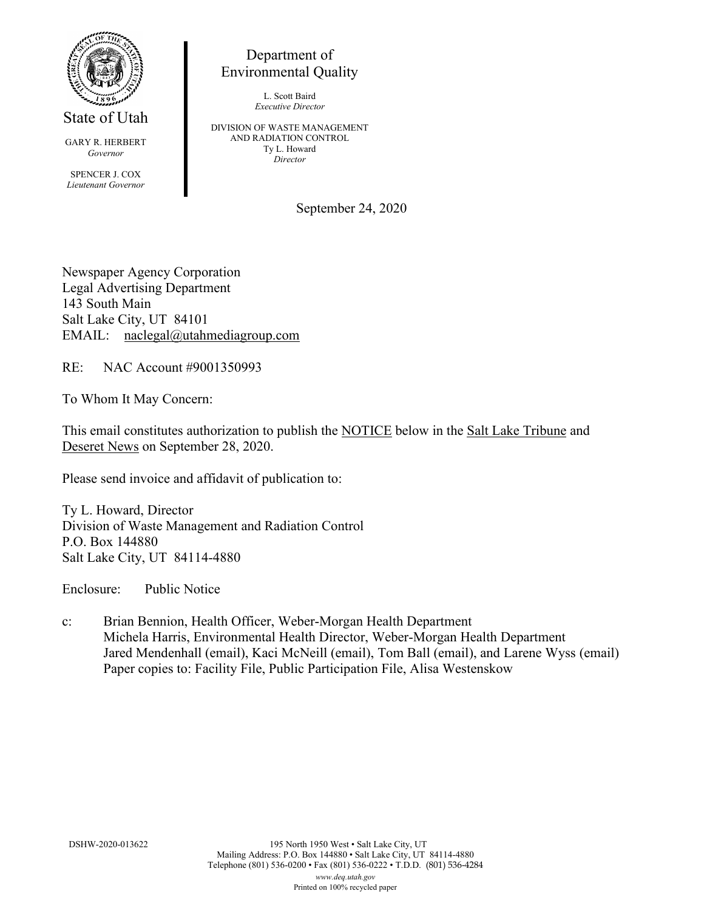

State of Utah

GARY R. HERBERT *Governor*

SPENCER J. COX *Lieutenant Governor*

Department of Environmental Quality

> L. Scott Baird *Executive Director*

DIVISION OF WASTE MANAGEMENT AND RADIATION CONTROL Ty L. Howard *Director*

September 24, 2020

Newspaper Agency Corporation Legal Advertising Department 143 South Main Salt Lake City, UT 84101 EMAIL: naclegal@utahmediagroup.com

RE: NAC Account #9001350993

To Whom It May Concern:

This email constitutes authorization to publish the NOTICE below in the Salt Lake Tribune and Deseret News on September 28, 2020.

Please send invoice and affidavit of publication to:

Ty L. Howard, Director Division of Waste Management and Radiation Control P.O. Box 144880 Salt Lake City, UT 84114-4880

Enclosure: Public Notice

c: Brian Bennion, Health Officer, Weber-Morgan Health Department Michela Harris, Environmental Health Director, Weber-Morgan Health Department Jared Mendenhall (email), Kaci McNeill (email), Tom Ball (email), and Larene Wyss (email) Paper copies to: Facility File, Public Participation File, Alisa Westenskow